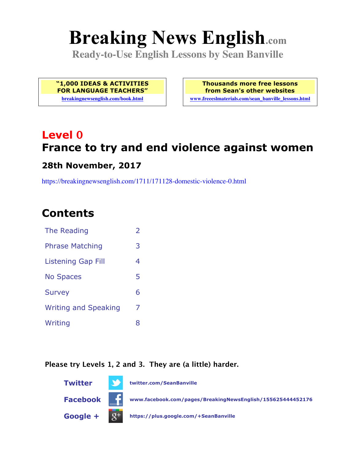# **Breaking News English.com**

**Ready-to-Use English Lessons by Sean Banville**

**"1,000 IDEAS & ACTIVITIES FOR LANGUAGE TEACHERS"**

**breakingnewsenglish.com/book.html**

**Thousands more free lessons from Sean's other websites www.freeeslmaterials.com/sean\_banville\_lessons.html**

## **Level 0 France to try and end violence against women**

#### **28th November, 2017**

https://breakingnewsenglish.com/1711/171128-domestic-violence-0.html

### **Contents**

| The Reading                 | $\overline{\phantom{a}}$ |
|-----------------------------|--------------------------|
| <b>Phrase Matching</b>      | 3                        |
| Listening Gap Fill          | 4                        |
| <b>No Spaces</b>            | 5                        |
| <b>Survey</b>               | 6                        |
| <b>Writing and Speaking</b> | 7                        |
| Writing                     | 8                        |
|                             |                          |

#### **Please try Levels 1, 2 and 3. They are (a little) harder.**

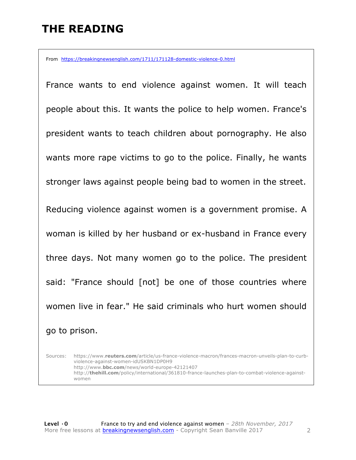### **THE READING**

From https://breakingnewsenglish.com/1711/171128-domestic-violence-0.html

France wants to end violence against women. It will teach people about this. It wants the police to help women. France's president wants to teach children about pornography. He also wants more rape victims to go to the police. Finally, he wants stronger laws against people being bad to women in the street. Reducing violence against women is a government promise. A woman is killed by her husband or ex-husband in France every three days. Not many women go to the police. The president said: "France should [not] be one of those countries where women live in fear." He said criminals who hurt women should go to prison.

Sources: https://www.**reuters.com**/article/us-france-violence-macron/frances-macron-unveils-plan-to-curbviolence-against-women-idUSKBN1DP0H9 http://www.**bbc.com**/news/world-europe-42121407 http://**thehill.com**/policy/international/361810-france-launches-plan-to-combat-violence-againstwomen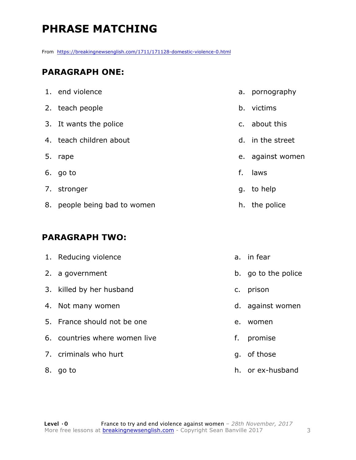### **PHRASE MATCHING**

From https://breakingnewsenglish.com/1711/171128-domestic-violence-0.html

#### **PARAGRAPH ONE:**

|    | 1. end violence              |    | a. pornography   |
|----|------------------------------|----|------------------|
|    | 2. teach people              | b. | victims          |
|    | 3. It wants the police       |    | c. about this    |
|    | 4. teach children about      | d. | in the street    |
| 5. | rape                         |    | e. against women |
|    | 6. go to                     | f. | laws             |
|    | 7. stronger                  |    | g. to help       |
|    | 8. people being bad to women |    | h. the police    |

#### **PARAGRAPH TWO:**

|    | 1. Reducing violence          |    | a. in fear          |
|----|-------------------------------|----|---------------------|
|    | 2. a government               |    | b. go to the police |
|    | 3. killed by her husband      | C. | prison              |
|    | 4. Not many women             |    | d. against women    |
|    | 5. France should not be one   | e. | women               |
|    | 6. countries where women live | f. | promise             |
|    | 7. criminals who hurt         |    | q. of those         |
| 8. | go to                         |    | h. or ex-husband    |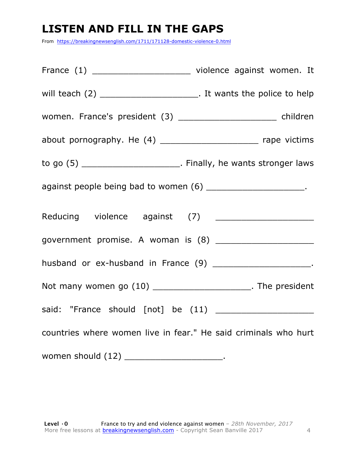### **LISTEN AND FILL IN THE GAPS**

From https://breakingnewsenglish.com/1711/171128-domestic-violence-0.html

| France (1) __________________________ violence against women. It         |  |
|--------------------------------------------------------------------------|--|
| will teach $(2)$ __________________________. It wants the police to help |  |
| women. France's president (3) ______________________ children            |  |
| about pornography. He (4) _________________________ rape victims         |  |
| to go (5) _________________________. Finally, he wants stronger laws     |  |
| against people being bad to women (6) ________________________.          |  |
| Reducing violence against (7) ________________________                   |  |
| government promise. A woman is (8) _______________________               |  |
| husband or ex-husband in France (9) _______________________.             |  |
| Not many women go (10) ______________________. The president             |  |
|                                                                          |  |
| countries where women live in fear." He said criminals who hurt          |  |
| women should (12) ________________________.                              |  |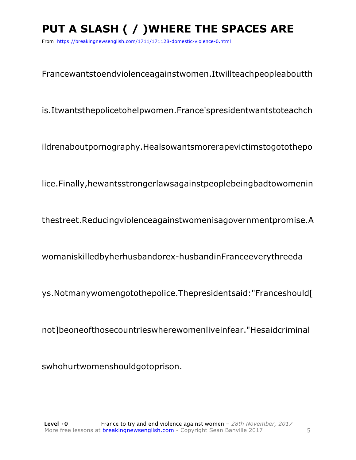### PUT A SLASH ( / ) WHERE THE SPACES ARE

From https://breakingnewsenglish.com/1711/171128-domestic-violence-0.html

Francewantstoendviolenceagainstwomen.Itwillteachpeopleaboutth

is.Itwantsthepolicetohelpwomen.France'spresidentwantstoteachch

ildrenaboutpornography.Healsowantsmorerapevictimstogotothepo

lice.Finally, hewantsstrongerlawsagainstpeoplebeingbadtowomenin

thestreet.Reducingviolenceagainstwomenisagovernmentpromise.A

womaniskilledbyherhusbandorex-husbandinFranceeverythreeda

ys.Notmanywomengotothepolice.Thepresidentsaid:"Franceshould[

not]beoneofthosecountrieswherewomenliveinfear."Hesaidcriminal

swhohurtwomenshouldgotoprison.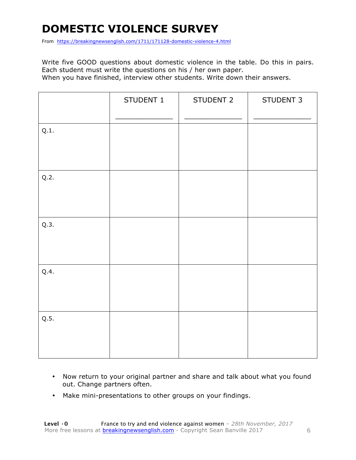### **DOMESTIC VIOLENCE SURVEY**

From https://breakingnewsenglish.com/1711/171128-domestic-violence-4.html

Write five GOOD questions about domestic violence in the table. Do this in pairs. Each student must write the questions on his / her own paper. When you have finished, interview other students. Write down their answers.

|      | STUDENT 1 | STUDENT 2 | STUDENT 3 |
|------|-----------|-----------|-----------|
| Q.1. |           |           |           |
| Q.2. |           |           |           |
| Q.3. |           |           |           |
| Q.4. |           |           |           |
| Q.5. |           |           |           |

- Now return to your original partner and share and talk about what you found out. Change partners often.
- Make mini-presentations to other groups on your findings.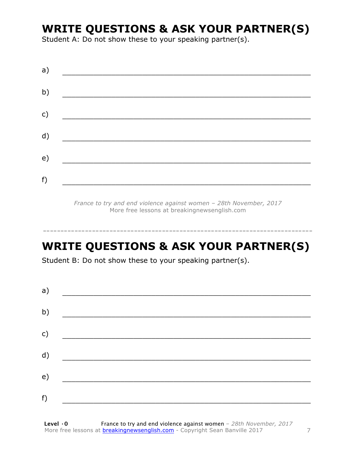### **WRITE QUESTIONS & ASK YOUR PARTNER(S)**

Student A: Do not show these to your speaking partner(s).

| a)           |  |  |
|--------------|--|--|
| b)           |  |  |
| $\mathsf{C}$ |  |  |
|              |  |  |
| d)           |  |  |
| e)           |  |  |
| f)           |  |  |

*France to try and end violence against women – 28th November, 2017* More free lessons at breakingnewsenglish.com

### **WRITE QUESTIONS & ASK YOUR PARTNER(S)**

-----------------------------------------------------------------------------

Student B: Do not show these to your speaking partner(s).

| a)            |  |  |  |
|---------------|--|--|--|
| b)            |  |  |  |
| $\mathsf{c})$ |  |  |  |
| d)            |  |  |  |
| e)            |  |  |  |
| f)            |  |  |  |